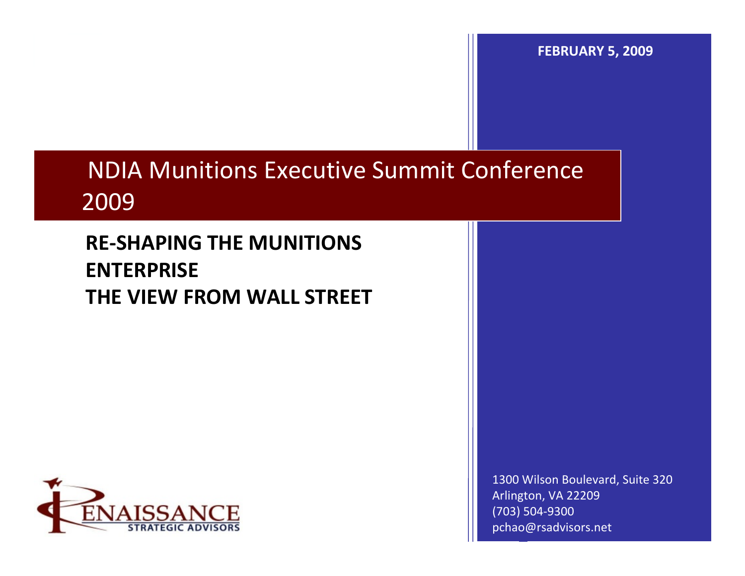**FEBRUARY 5, 2009**

## NDIA Munitions Executive Summit Conference 2009

#### **RE‐SHAPING THE MUNITIONS ENTERPRISE THE VIEW FROM WALL STREET**



1300 Wilson Boulevard, Suite 320 Arlington, VA 22209 (703) 504‐9300 pchao@rsadvisors.net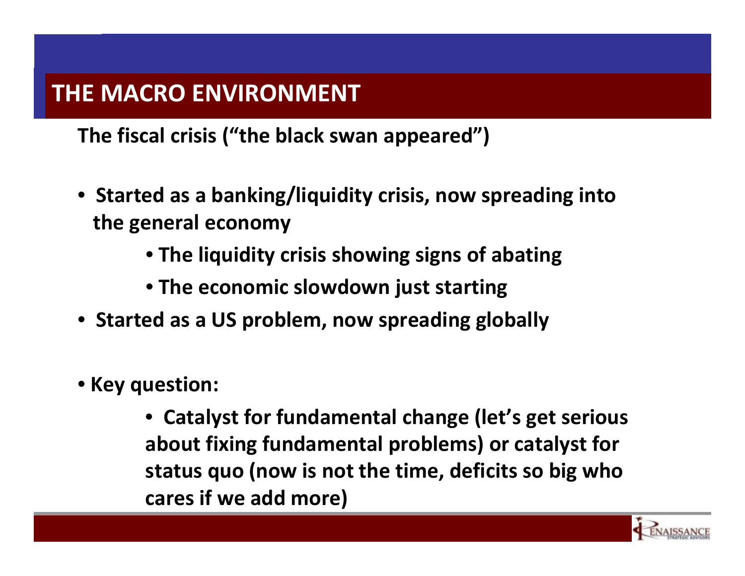**The fiscal crisis ("the black swan appeared")**

- **Started as <sup>a</sup> banking/liquidity crisis, now spreading into the general economy**
	- **The liquidity crisis showing signs of abating**
	- **The economic slowdown just starting**
- **Started as <sup>a</sup> US problem, now spreading globally**
- **Key question:**
	- **Catalyst for fundamental change (let's get serious about fixing fundamental problems) or catalyst for status quo (now is not the time, deficits so big who cares if we add more)**

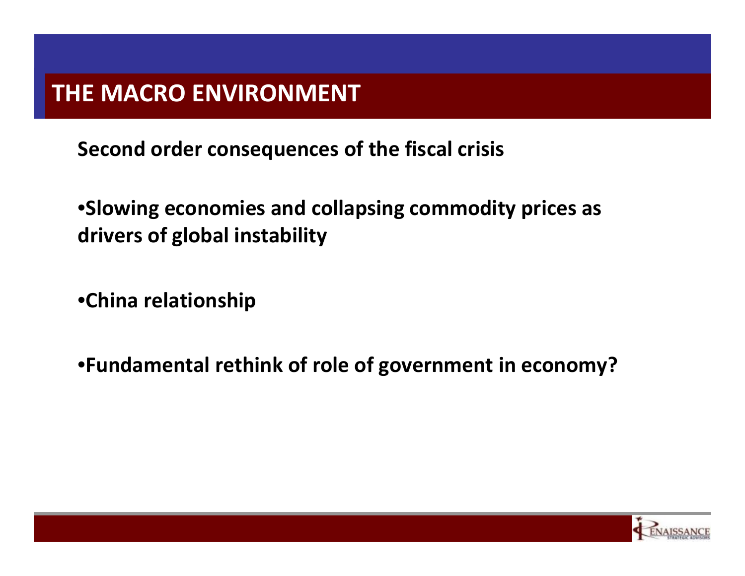**Second order consequences of the fiscal crisis**

•**Slowing economies and collapsing commodity prices as drivers of global instability**

•**China relationship**

•**Fundamental rethink of role of government in economy?**

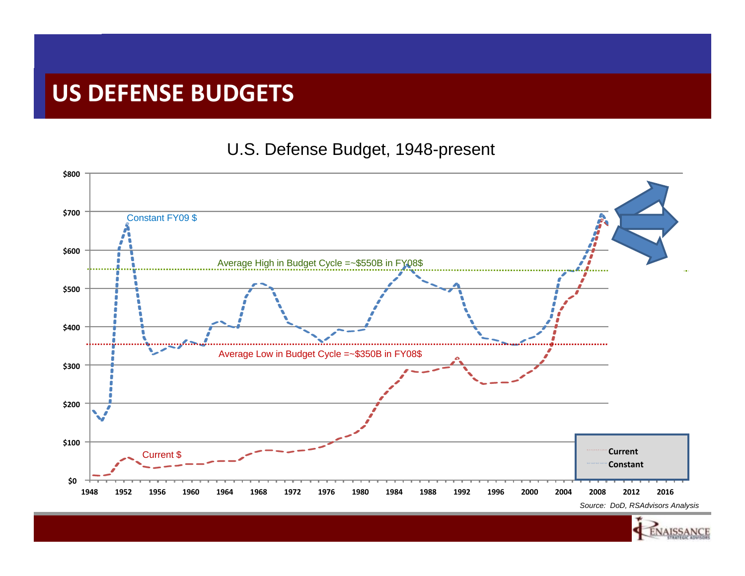#### **US DEFENSE BUDGETS**

#### U.S. Defense Budget, 1948-present



NAISSANC

Renaissance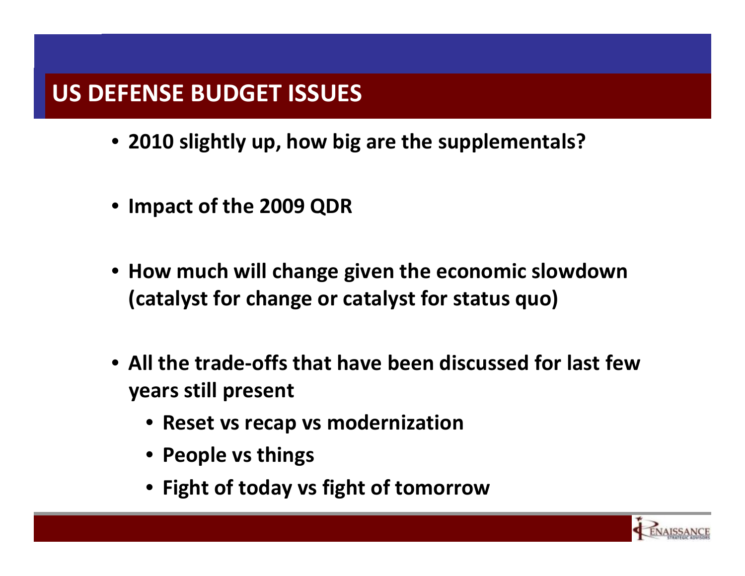### **US DEFENSE BUDGET ISSUES**

- **2010 slightly up, how big are the supplementals?**
- **Impact of the 2009 QDR**
- **How much will change given the economic slowdown (catalyst for change or catalyst for status quo)**
- **All the trade‐offs that have been discussed for last fewyears still present**
	- **Reset vs recap vs modernization**
	- **People vs things**
	- **Fight of today vs fight of tomorrow**

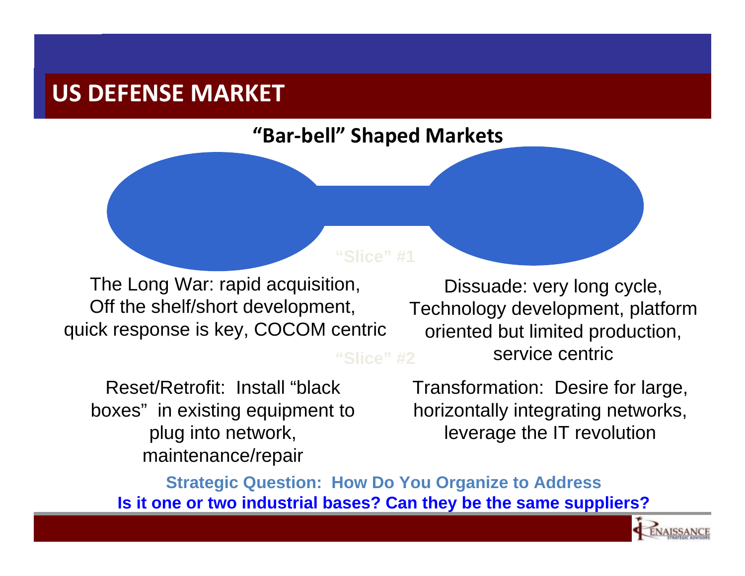#### **US DEFENSE MARKET**

#### **"Bar‐bell" Shaped Markets**

The Long War: rapid acquisition, Off the shelf/short development, quick response is key, COCOM centric

Dissuade: very long cycle, Technology development, platform oriented but limited production, service centric

Reset/Retrofit: Install "black boxes" in existing equipment to plug into network, maintenance/repair

Transformation: Desire for large, horizontally integrating networks, leverage the IT revolution

**Strategic Question: How Do You Organize to Address Is it one or two industrial bases? Can they be the same suppliers?**

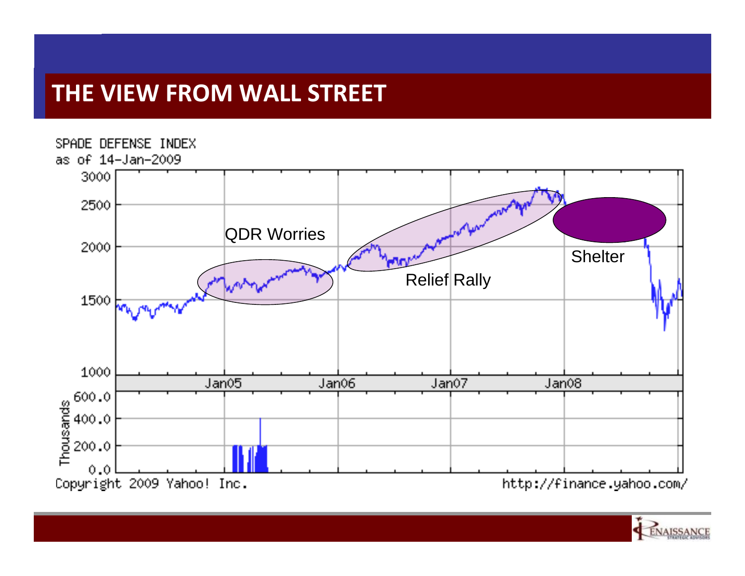## **THE VIEW FROM WALL STREET**



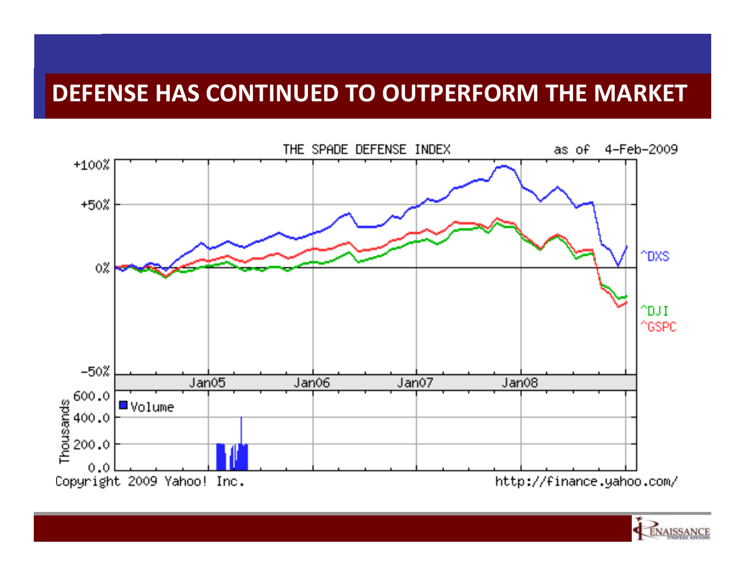#### **DEFENSE HAS CONTINUED TO OUTPERFORM THE MARKET**



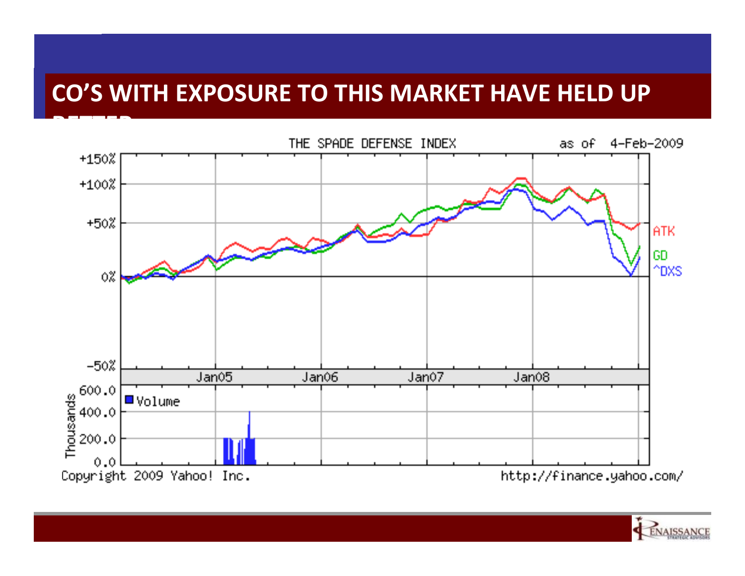## **CO'S WITH EXPOSURE TO THIS MARKET HAVE HELD UP**



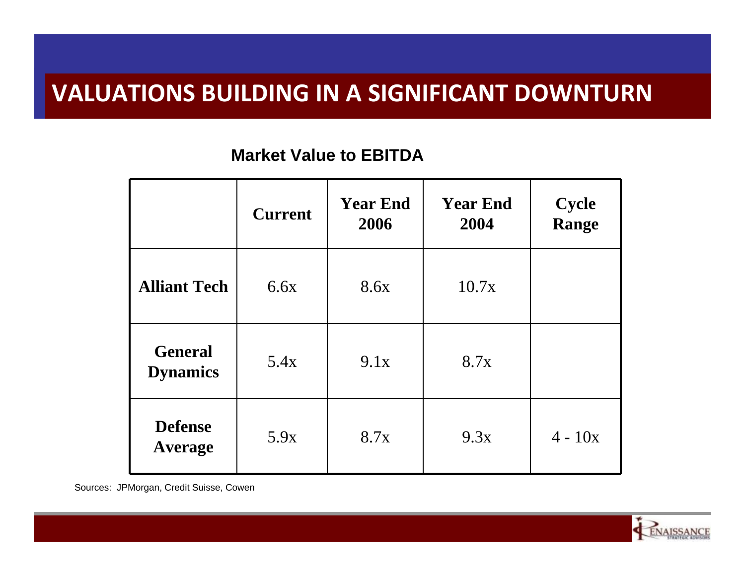#### **VALUATIONS BUILDING IN A SIGNIFICANT DOWNTURN**

#### **Market Value to EBITDA**

|                                   | <b>Current</b> | <b>Year End</b><br>2006 | <b>Year End</b><br>2004 | <b>Cycle</b><br><b>Range</b> |
|-----------------------------------|----------------|-------------------------|-------------------------|------------------------------|
| <b>Alliant Tech</b>               | 6.6x           | 8.6x                    | 10.7x                   |                              |
| <b>General</b><br><b>Dynamics</b> | 5.4x           | 9.1x                    | 8.7x                    |                              |
| <b>Defense</b><br>Average         | 5.9x           | 8.7x                    | 9.3x                    | $4 - 10x$                    |

Sources: JPMorgan, Credit Suisse, Cowen

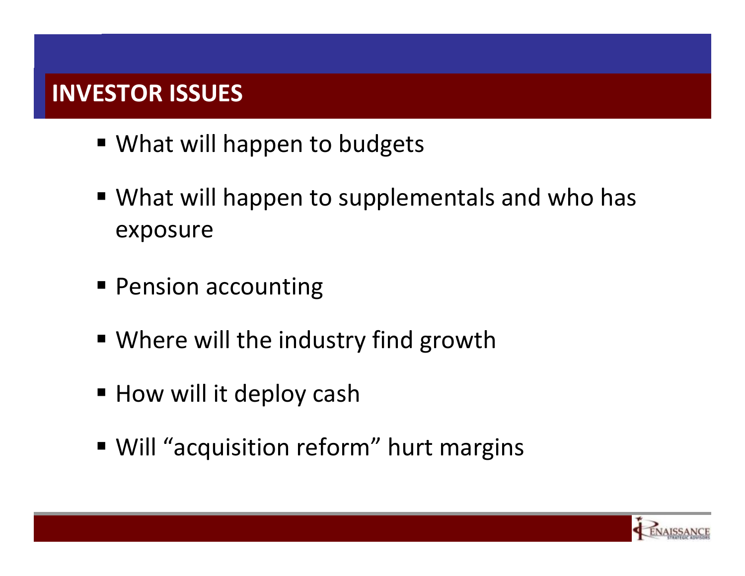## **INVESTOR ISSUES**

- What will happen to budgets
- What will happen to supplementals and who has exposure
- **Pension accounting**
- Where will the industry find growth
- **How will it deploy cash**
- Will "acquisition reform" hurt margins